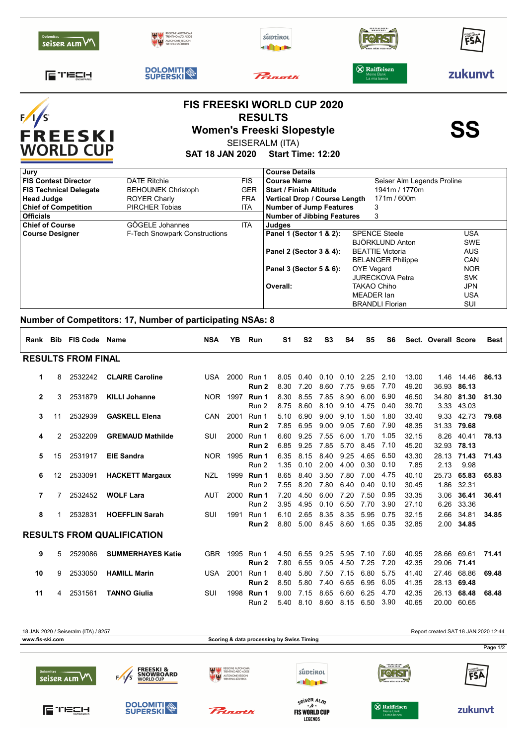| <b>Dolomites</b><br>seiser alm VV                 | TRENTINO-ALTO ADIG        |                                                                                                                                                         | süptirol                       | SPEZIALBIER-<br>BRAUEREI                          | FSÄ     |  |  |  |  |
|---------------------------------------------------|---------------------------|---------------------------------------------------------------------------------------------------------------------------------------------------------|--------------------------------|---------------------------------------------------|---------|--|--|--|--|
| <b>ETECH</b>                                      | <b>DOLOMITI</b>           |                                                                                                                                                         | Princetti                      | <b>X</b> Raiffeisen<br>Meine Bank<br>La mia banca | zukunvt |  |  |  |  |
| ;∕ <sub>l</sub> ∕s<br>FREESKI<br><b>WORLD CUP</b> |                           | <b>FIS FREESKI WORLD CUP 2020</b><br><b>RESULTS</b><br><b>Women's Freeski Slopestyle</b><br>SEISERALM (ITA)<br><b>SAT 18 JAN 2020 Start Time: 12:20</b> |                                | <b>SS</b>                                         |         |  |  |  |  |
| Jurv                                              |                           |                                                                                                                                                         | <b>Course Details</b>          |                                                   |         |  |  |  |  |
| <b>FIS Contest Director</b>                       | <b>DATE Ritchie</b>       | <b>FIS</b>                                                                                                                                              | <b>Course Name</b>             | Seiser Alm Legends Proline                        |         |  |  |  |  |
| <b>FIS Technical Delegate</b>                     | <b>BEHOUNEK Christoph</b> | <b>GER</b>                                                                                                                                              | <b>Start / Finish Altitude</b> | 1941m / 1770m                                     |         |  |  |  |  |

## **Number of Competitors: 17, Number of participating NSAs: 8**

|                                   |    | Rank Bib FIS Code | Name                     | <b>NSA</b> | YB.      | Run            | S1           | S <sub>2</sub> | S3           | S4           | S <sub>5</sub> | S6           |                | Sect. Overall Score  |                      | <b>Best</b> |
|-----------------------------------|----|-------------------|--------------------------|------------|----------|----------------|--------------|----------------|--------------|--------------|----------------|--------------|----------------|----------------------|----------------------|-------------|
| <b>RESULTS FROM FINAL</b>         |    |                   |                          |            |          |                |              |                |              |              |                |              |                |                      |                      |             |
| 1                                 | 8  | 2532242           | <b>CLAIRE Caroline</b>   | USA        | 2000     | Run 1<br>Run 2 | 8.05<br>8.30 | 0.40<br>7.20   | 0.10<br>8.60 | 0.10<br>7.75 | 2.25<br>9.65   | 2.10<br>7.70 | 13.00<br>49.20 | 1.46<br>36.93        | 14.46<br>86.13       | 86.13       |
| $\overline{2}$                    | 3  | 2531879           | <b>KILLI Johanne</b>     |            | NOR 1997 | Run 1<br>Run 2 | 8.30<br>8.75 | 8.55<br>8.60   | 7.85<br>8.10 | 8.90<br>9.10 | 6.00<br>4.75   | 6.90<br>0.40 | 46.50<br>39.70 | 34.80                | 81.30<br>3.33 43.03  | 81.30       |
| 3                                 | 11 | 2532939           | <b>GASKELL Elena</b>     | <b>CAN</b> | 2001     | Run 1<br>Run 2 | 5.10<br>7.85 | 6.90<br>6.95   | 9.00<br>9.00 | 9.10<br>9.05 | 1.50<br>7.60   | 1.80<br>7.90 | 33.40<br>48.35 | 9.33<br>31.33 79.68  | 42.73                | 79.68       |
| 4                                 | 2  | 2532209           | <b>GREMAUD Mathilde</b>  | SUI        | 2000     | Run 1<br>Run 2 | 6.60<br>6.85 | 9.25<br>9.25   | 7.55<br>7.85 | 6.00<br>5.70 | 1.70<br>8.45   | 1.05<br>7.10 | 32.15<br>45.20 | 8.26                 | 40.41<br>32.93 78.13 | 78.13       |
| 5                                 | 15 | 2531917           | <b>EIE Sandra</b>        | NOR 1      | 1995     | Run 1<br>Run 2 | 6.35<br>1.35 | 8.15<br>0.10   | 8.40<br>2.00 | 9.25<br>4.00 | 4.65<br>0.30   | 6.50<br>0.10 | 43.30<br>7.85  | 28.13<br>2.13        | 71.43<br>9.98        | 71.43       |
| 6                                 | 12 | 2533091           | <b>HACKETT Margaux</b>   | NZL        | 1999     | Run 1<br>Run 2 | 8.65<br>7.55 | 8.40<br>8.20   | 3.50<br>7.80 | 7.80<br>6.40 | 7.00<br>0.40   | 4.75<br>0.10 | 40.10<br>30.45 | 25.73<br>1.86        | 65.83<br>32.31       | 65.83       |
| 7                                 | 7  | 2532452           | <b>WOLF Lara</b>         | <b>AUT</b> | 2000     | Run 1<br>Run 2 | 7.20<br>3.95 | 4.50<br>4.95   | 6.00<br>0.10 | 7.20<br>6.50 | 7.50<br>7.70   | 0.95<br>3.90 | 33.35<br>27.10 | 3.06                 | 36.41<br>6.26 33.36  | 36.41       |
| 8                                 | 1  | 2532831           | <b>HOEFFLIN Sarah</b>    | SUI        | 1991     | Run 1<br>Run 2 | 6.10<br>8.80 | 2.65<br>5.00   | 8.35<br>8.45 | 8.35<br>8.60 | 5.95<br>1.65   | 0.75<br>0.35 | 32.15<br>32.85 | 2.66                 | 34.81<br>2.00 34.85  | 34.85       |
| <b>RESULTS FROM QUALIFICATION</b> |    |                   |                          |            |          |                |              |                |              |              |                |              |                |                      |                      |             |
| 9                                 | 5  | 2529086           | <b>SUMMERHAYES Katie</b> | GBR        | 1995     | Run 1<br>Run 2 | 4.50<br>7.80 | 6.55<br>6.55   | 9.25<br>9.05 | 5.95<br>4.50 | 7.10<br>7.25   | 7.60<br>7.20 | 40.95<br>42.35 | 28.66<br>29.06 71.41 | 69.61                | 71.41       |
| 10                                | 9  | 2533050           | <b>HAMILL Marin</b>      | <b>USA</b> | 2001     | Run 1<br>Run 2 | 8.40<br>8.50 | 5.80<br>5.80   | 7.50<br>7.40 | 7.15<br>6.65 | 6.80<br>6.95   | 5.75<br>6.05 | 41.40<br>41.35 | 27.46<br>28.13 69.48 | 68.86                | 69.48       |
| 11                                | 4  | 2531561           | <b>TANNO Giulia</b>      | SUI        | 1998     | Run 1<br>Run 2 | 9.00<br>5.40 | 7.15<br>8.10   | 8.65<br>8.60 | 6.60<br>8.15 | 6.25<br>6.50   | 4.70<br>3.90 | 42.35<br>40.65 | 26.13                | 68.48<br>20.00 60.65 | 68.48       |

**\_**

**Course Designer Panel 1 (Sector 1 & 2):** SPENCE Steele Steele

**Head Judge** ROYER Charly FRA **Vertical Drop / Course Length** 171m / 600m

**Officials Officials Number of Jibbing Features** 3 **Chief of Competition** PIRCHER Tobias ITA Number of Jump Features 3

**Chief of Course** GÖGELE Johannes ITA Judges<br>
Course Designer F-Tech Snowpark Constructions Panel 1 (Sector 1 & 2):

**\_ Overall:**

**Panel 2 (Sector 3 & 4): \_**

BRANDLI Florian SUI

SVK JPN USA

AUS CAN<br>NOR

USA SWE

JURECKOVA Petra TAKAO Chiho MEADER Ian

BEATTIE Victoria BELANGER Philippe<br>OYE Vegard

BJÖRKLUND Anton

**Panel 3 (Sector 5 & 6):** OYE Vegard NOR



**LEGENDS**